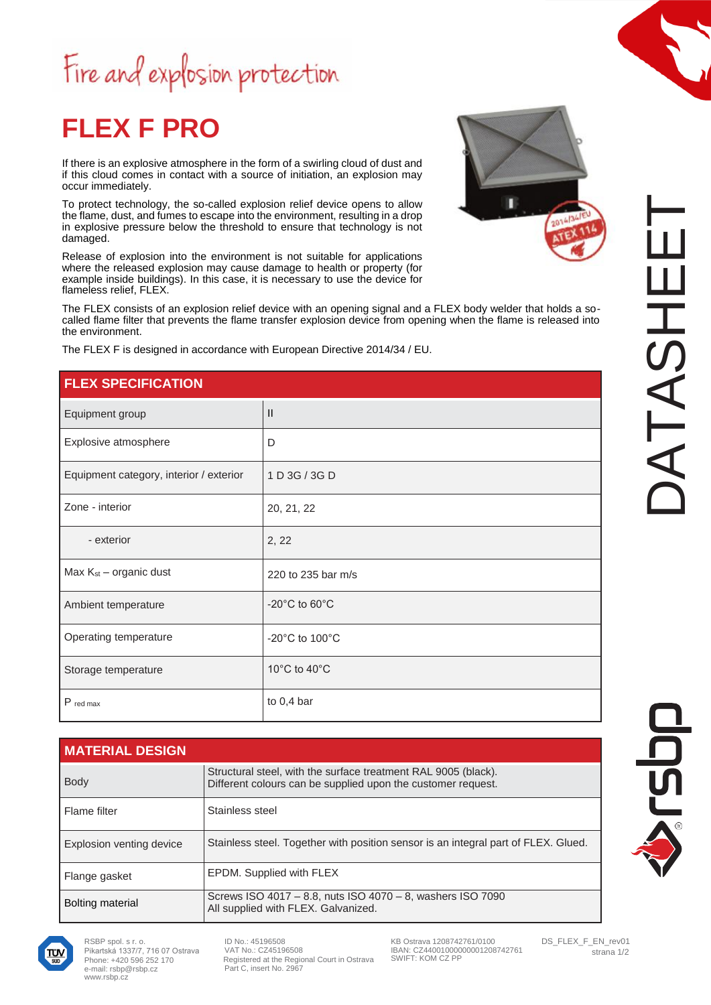## Fire and explosion protection

### **FLEX F PRO**

If there is an explosive atmosphere in the form of a swirling cloud of dust and if this cloud comes in contact with a source of initiation, an explosion may occur immediately.

To protect technology, the so-called explosion relief device opens to allow the flame, dust, and fumes to escape into the environment, resulting in a drop in explosive pressure below the threshold to ensure that technology is not damaged.

Release of explosion into the environment is not suitable for applications where the released explosion may cause damage to health or property (for example inside buildings). In this case, it is necessary to use the device for flameless relief, FLEX.

The FLEX consists of an explosion relief device with an opening signal and a FLEX body welder that holds a socalled flame filter that prevents the flame transfer explosion device from opening when the flame is released into the environment.

The FLEX F is designed in accordance with European Directive 2014/34 / EU.

### **FLEX SPECIFICATION**

| Equipment group                         | $\mathbf{H}$                         |
|-----------------------------------------|--------------------------------------|
| Explosive atmosphere                    | D                                    |
| Equipment category, interior / exterior | 1 D 3G / 3G D                        |
| Zone - interior                         | 20, 21, 22                           |
| - exterior                              | 2, 22                                |
| Max $K_{st}$ – organic dust             | 220 to 235 bar m/s                   |
| Ambient temperature                     | $-20^{\circ}$ C to 60 $^{\circ}$ C   |
| Operating temperature                   | -20 $^{\circ}$ C to 100 $^{\circ}$ C |
| Storage temperature                     | 10°C to 40°C                         |
| P red max                               | to $0,4$ bar                         |

| <b>MATERIAL DESIGN</b>   |                                                                                                                                |
|--------------------------|--------------------------------------------------------------------------------------------------------------------------------|
| <b>Body</b>              | Structural steel, with the surface treatment RAL 9005 (black).<br>Different colours can be supplied upon the customer request. |
| Flame filter             | Stainless steel                                                                                                                |
| Explosion venting device | Stainless steel. Together with position sensor is an integral part of FLEX. Glued.                                             |
| Flange gasket            | EPDM. Supplied with FLEX                                                                                                       |
| <b>Bolting material</b>  | Screws ISO 4017 - 8.8, nuts ISO 4070 - 8, washers ISO 7090<br>All supplied with FLEX. Galvanized.                              |

2014/3

 $\Box$ 

A



RSBP spol. s r. o. Pikartská 1337/7, 716 07 Ostrava Phone: +420 596 252 170 [e-mail: rsbp@rsbp.cz](mailto:rsbp@rsbp.cz) [www.rsbp.cz](http://www.rsbp.cz/)

ID No.: 45196508 VAT No.: CZ45196508 Registered at the Regional Court in Ostrava Part C, insert No. 2967

KB Ostrava 1208742761/0100 IBAN: CZ44001000000001208742761 SWIFT: KOM CZ PP

DS\_FLEX\_F\_EN\_rev01 strana 1/2